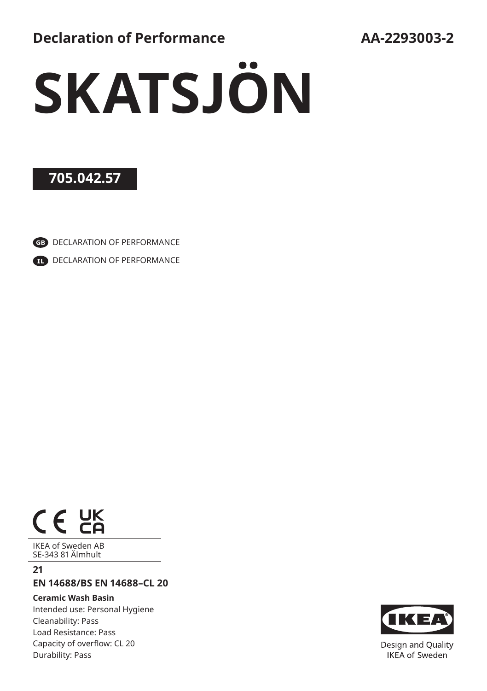## **Declaration of Performance AA-2293003-2**

## **.. SKATSJÖN**

### **705.042.57**

**CB** DECLARATION OF PERFORMANCE

DECLARATION OF PERFORMANCE

# $C \n\in \mathbb{R}^n$

IKEA of Sweden AB SE-343 81 Älmhult

**21**

### **EN 14688/BS EN 14688–CL 20**

#### **Ceramic Wash Basin**

Intended use: Personal Hygiene Cleanability: Pass Load Resistance: Pass Capacity of overflow: CL 20 Durability: Pass



Design and Quality IKEA of Sweden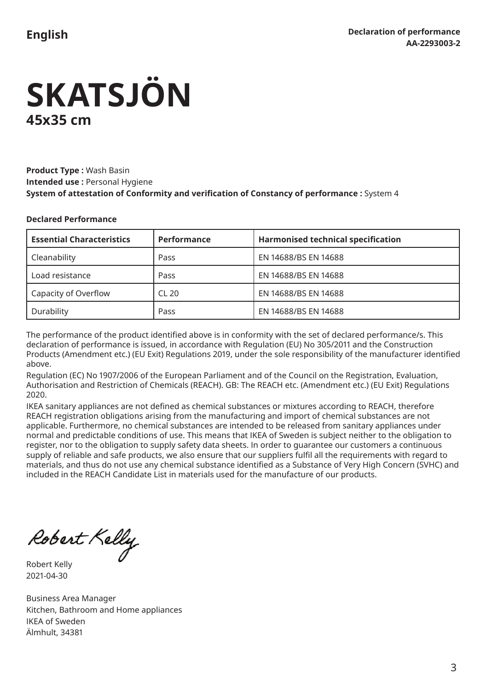

**Product Type :** Wash Basin **Intended use :** Personal Hygiene **System of attestation of Conformity and verification of Constancy of performance :** System 4

|  | <b>Declared Performance</b> |
|--|-----------------------------|
|--|-----------------------------|

| <b>Essential Characteristics</b> | Performance | Harmonised technical specification |  |
|----------------------------------|-------------|------------------------------------|--|
| Cleanability                     | Pass        | EN 14688/BS EN 14688               |  |
| Load resistance                  | Pass        | EN 14688/BS EN 14688               |  |
| Capacity of Overflow             | CL20        | EN 14688/BS EN 14688               |  |
| Durability                       | Pass        | EN 14688/BS EN 14688               |  |

The performance of the product identified above is in conformity with the set of declared performance/s. This declaration of performance is issued, in accordance with Regulation (EU) No 305/2011 and the Construction Products (Amendment etc.) (EU Exit) Regulations 2019, under the sole responsibility of the manufacturer identified above.

Regulation (EC) No 1907/2006 of the European Parliament and of the Council on the Registration, Evaluation, Authorisation and Restriction of Chemicals (REACH). GB: The REACH etc. (Amendment etc.) (EU Exit) Regulations 2020.

IKEA sanitary appliances are not defined as chemical substances or mixtures according to REACH, therefore REACH registration obligations arising from the manufacturing and import of chemical substances are not applicable. Furthermore, no chemical substances are intended to be released from sanitary appliances under normal and predictable conditions of use. This means that IKEA of Sweden is subject neither to the obligation to register, nor to the obligation to supply safety data sheets. In order to guarantee our customers a continuous supply of reliable and safe products, we also ensure that our suppliers fulfil all the requirements with regard to materials, and thus do not use any chemical substance identified as a Substance of Very High Concern (SVHC) and included in the REACH Candidate List in materials used for the manufacture of our products.

Robert Kelly

Robert Kelly 2021-04-30

Business Area Manager Kitchen, Bathroom and Home appliances IKEA of Sweden Älmhult, 34381